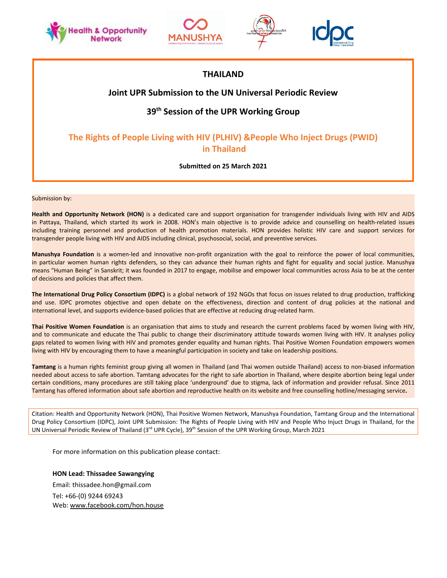







# **THAILAND**

# **Joint UPR Submission to the UN Universal Periodic Review**

# **39th Session of the UPR Working Group**

# **The Rights of People Living with HIV (PLHIV) &People Who Inject Drugs (PWID) in Thailand**

#### **Submitted on 25 March 2021**

Submission by:

**Health and Opportunity Network (HON)** is <sup>a</sup> dedicated care and support organisation for transgender individuals living with HIV and AIDS in Pattaya, Thailand, which started its work in 2008. HON'<sup>s</sup> main objective is to provide advice and counselling on health-related issues including training personnel and production of health promotion materials. HON provides holistic HIV care and support services for transgender people living with HIV and AIDS including clinical, psychosocial, social, and preventive services.

**Manushya Foundation** is <sup>a</sup> women-led and innovative non-profit organization with the goal to reinforce the power of local communities, in particular women human rights defenders, so they can advance their human rights and fight for equality and social justice. Manushya means "Human Being" in Sanskrit; it was founded in 2017 to engage, mobilise and empower local communities across Asia to be at the center of decisions and policies that affect them.

**The International Drug Policy Consortium (IDPC)** is <sup>a</sup> global network of 192 NGOs that focus on issues related to drug production, trafficking and use. IDPC promotes objective and open debate on the effectiveness, direction and content of drug policies at the national and international level, and supports evidence-based policies that are effective at reducing drug-related harm.

**Thai Positive Women Foundation** is an organisation that aims to study and research the current problems faced by women living with HIV, and to communicate and educate the Thai public to change their discriminatory attitude towards women living with HIV. It analyses policy gaps related to women living with HIV and promotes gender equality and human rights. Thai Positive Women Foundation empowers women living with HIV by encouraging them to have <sup>a</sup> meaningful participation in society and take on leadership positions.

**Tamtang** is <sup>a</sup> human rights feminist group giving all women in Thailand (and Thai women outside Thailand) access to non-biased information needed about access to safe abortion. Tamtang advocates for the right to safe abortion in Thailand, where despite abortion being legal under certain conditions, many procedures are still taking place 'underground' due to stigma, lack of information and provider refusal. Since 2011 Tamtang has offered information about safe abortion and reproductive health on its website and free counselling hotline/messaging service**.**

Citation: Health and Opportunity Network (HON), Thai Positive Women Network, Manushya Foundation, Tamtang Group and the International Drug Policy Consortium (IDPC), Joint UPR Submission: The Rights of People Living with HIV and People Who Injuct Drugs in Thailand, for the UN Universal Periodic Review of Thailand (3<sup>rd</sup> UPR Cycle), 39<sup>th</sup> Session of the UPR Working Group, March 2021

For more information on this publication please contact:

#### **HON Lead: Thissadee Sawangying**

Email: thissadee.hon@gmail.com Tel: +66-(0) 9244 69243 Web: [www.facebook.com/hon.house](http://www.facebook.com/hon.house)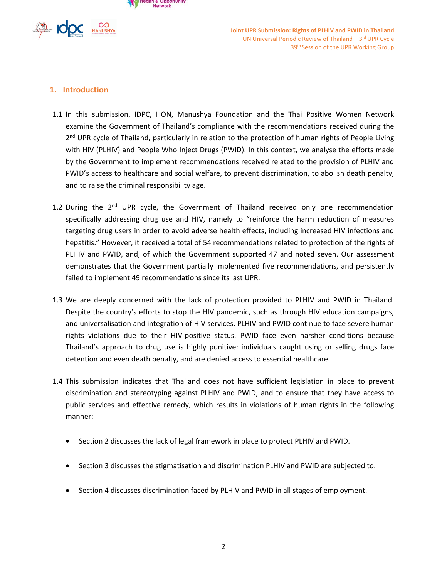



# **1. Introduction**

- 1.1 In this submission, IDPC, HON, Manushya Foundation and the Thai Positive Women Network examine the Government of Thailand'<sup>s</sup> compliance with the recommendations received during the 2<sup>nd</sup> UPR cycle of Thailand, particularly in relation to the protection of human rights of People Living with HIV (PLHIV) and People Who Inject Drugs (PWID). In this context, we analyse the efforts made by the Government to implement recommendations received related to the provision of PLHIV and PWID'<sup>s</sup> access to healthcare and social welfare, to prevent discrimination, to abolish death penalty, and to raise the criminal responsibility age.
- 1.2 During the 2<sup>nd</sup> UPR cycle, the Government of Thailand received only one recommendation specifically addressing drug use and HIV, namely to "reinforce the harm reduction of measures targeting drug users in order to avoid adverse health effects, including increased HIV infections and hepatitis." However, it received <sup>a</sup> total of 54 recommendations related to protection of the rights of PLHIV and PWID, and, of which the Government supported 47 and noted seven. Our assessment demonstrates that the Government partially implemented five recommendations, and persistently failed to implement 49 recommendations since its last UPR.
- 1.3 We are deeply concerned with the lack of protection provided to PLHIV and PWID in Thailand. Despite the country'<sup>s</sup> efforts to stop the HIV pandemic, such as through HIV education campaigns, and universalisation and integration of HIV services, PLHIV and PWID continue to face severe human rights violations due to their HIV-positive status. PWID face even harsher conditions because Thailand'<sup>s</sup> approach to drug use is highly punitive: individuals caught using or selling drugs face detention and even death penalty, and are denied access to essential healthcare.
- 1.4 This submission indicates that Thailand does not have sufficient legislation in place to prevent discrimination and stereotyping against PLHIV and PWID, and to ensure that they have access to public services and effective remedy, which results in violations of human rights in the following manner:
	- Section 2 discusses the lack of legal framework in place to protect PLHIV and PWID.
	- Section 3 discusses the stigmatisation and discrimination PLHIV and PWID are subjected to.
	- Section 4 discusses discrimination faced by PLHIV and PWID in all stages of employment.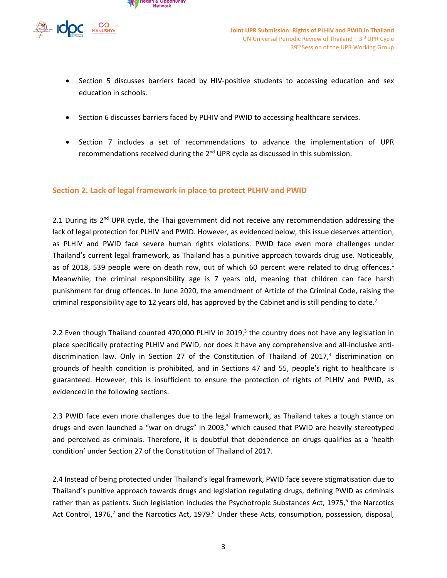



- Section 5 discusses barriers faced by HIV-positive students to accessing education and sex education in schools.
- Section 6 discusses barriers faced by PLHIV and PWID to accessing healthcare services.
- Section 7 includes <sup>a</sup> set of recommendations to advance the implementation of UPR recommendations received during the 2<sup>nd</sup> UPR cycle as discussed in this submission.

### **Section 2. Lack of legal framework in place to protect PLHIV and PWID**

2.1 During its 2<sup>nd</sup> UPR cycle, the Thai government did not receive any recommendation addressing the lack of legal protection for PLHIV and PWID. However, as evidenced below, this issue deserves attention, as PLHIV and PWID face severe human rights violations. PWID face even more challenges under Thailand'<sup>s</sup> current legal framework, as Thailand has <sup>a</sup> punitive approach towards drug use. Noticeably, as of 2018, 539 people were on death row, out of which 60 percent were related to drug offences.<sup>1</sup> Meanwhile, the criminal responsibility age is 7 years old, meaning that children can face harsh punishment for drug offences. In June 2020, the amendment of Article of the Criminal Code, raising the criminal responsibility age to 12 years old, has approved by the Cabinet and is still pending to date.<sup>2</sup>

2.2 Even though Thailand counted 470,000 PLHIV in 2019,<sup>3</sup> the country does not have any legislation in place specifically protecting PLHIV and PWID, nor does it have any comprehensive and all-inclusive antidiscrimination law. Only in Section 27 of the Constitution of Thailand of 2017,<sup>4</sup> discrimination on grounds of health condition is prohibited, and in Sections 47 and 55, people'<sup>s</sup> right to healthcare is guaranteed. However, this is insufficient to ensure the protection of rights of PLHIV and PWID, as evidenced in the following sections.

2.3 PWID face even more challenges due to the legal framework, as Thailand takes <sup>a</sup> tough stance on drugs and even launched <sup>a</sup> "war on drugs" in 2003, 5 which caused that PWID are heavily stereotyped and perceived as criminals. Therefore, it is doubtful that dependence on drugs qualifies as <sup>a</sup> 'health condition' under Section 27 of the Constitution of Thailand of 2017.

2.4 Instead of being protected under Thailand'<sup>s</sup> legal framework, PWID face severe stigmatisation due to Thailand'<sup>s</sup> punitive approach towards drugs and legislation regulating drugs, defining PWID as criminals rather than as patients. Such legislation includes the Psychotropic Substances Act, 1975,<sup>6</sup> the Narcotics Act Control, 1976, $^7$  and the Narcotics Act, 1979. $^8$  Under these Acts, consumption, possession, disposal,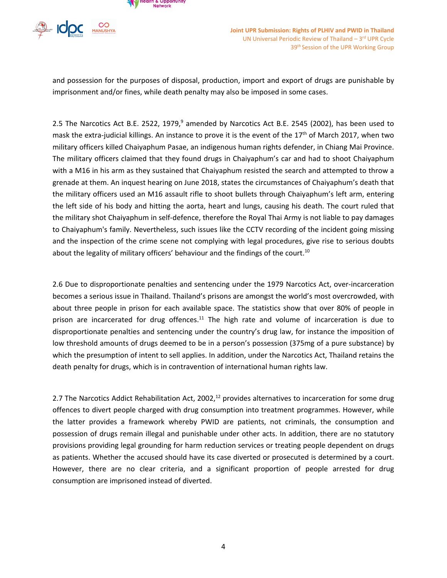



and possession for the purposes of disposal, production, import and export of drugs are punishable by imprisonment and/or fines, while death penalty may also be imposed in some cases.

2.5 The Narcotics Act B.E. 2522, 1979,<sup>9</sup> amended by Narcotics Act B.E. 2545 (2002), has been used to mask the extra-judicial killings. An instance to prove it is the event of the 17<sup>th</sup> of March 2017, when two military officers killed Chaiyaphum Pasae, an indigenous human rights defender, in Chiang Mai Province. The military officers claimed that they found drugs in Chaiyaphum'<sup>s</sup> car and had to shoot Chaiyaphum with <sup>a</sup> M16 in his arm as they sustained that Chaiyaphum resisted the search and attempted to throw <sup>a</sup> grenade at them. An inquest hearing on June 2018, states the circumstances of Chaiyaphum'<sup>s</sup> death that the military officers used an M16 assault rifle to shoot bullets through Chaiyaphum'<sup>s</sup> left arm, entering the left side of his body and hitting the aorta, heart and lungs, causing his death. The court ruled that the military shot Chaiyaphum in self-defence, therefore the Royal Thai Army is not liable to pay damages to Chaiyaphum's family. Nevertheless, such issues like the CCTV recording of the incident going missing and the inspection of the crime scene not complying with legal procedures, give rise to serious doubts about the legality of military officers' behaviour and the findings of the court.<sup>10</sup>

2.6 Due to disproportionate penalties and sentencing under the 1979 Narcotics Act, over-incarceration becomes <sup>a</sup> serious issue in Thailand. Thailand'<sup>s</sup> prisons are amongst the world'<sup>s</sup> most overcrowded, with about three people in prison for each available space. The statistics show that over 80% of people in prison are incarcerated for drug offences.<sup>11</sup> The high rate and volume of incarceration is due to disproportionate penalties and sentencing under the country'<sup>s</sup> drug law, for instance the imposition of low threshold amounts of drugs deemed to be in <sup>a</sup> person'<sup>s</sup> possession (375mg of <sup>a</sup> pure substance) by which the presumption of intent to sell applies. In addition, under the Narcotics Act, Thailand retains the death penalty for drugs, which is in contravention of international human rights law.

2.7 The Narcotics Addict Rehabilitation Act, 2002,<sup>12</sup> provides alternatives to incarceration for some drug offences to divert people charged with drug consumption into treatment programmes. However, while the latter provides <sup>a</sup> framework whereby PWID are patients, not criminals, the consumption and possession of drugs remain illegal and punishable under other acts. In addition, there are no statutory provisions providing legal grounding for harm reduction services or treating people dependent on drugs as patients. Whether the accused should have its case diverted or prosecuted is determined by <sup>a</sup> court. However, there are no clear criteria, and <sup>a</sup> significant proportion of people arrested for drug consumption are imprisoned instead of diverted.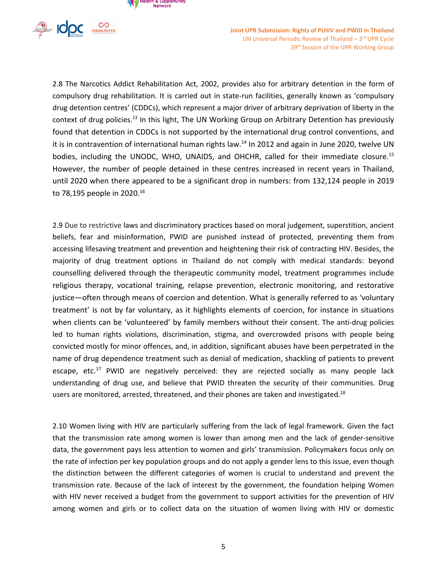



2.8 The Narcotics Addict Rehabilitation Act, 2002, provides also for arbitrary detention in the form of compulsory drug rehabilitation. It is carried out in state-run facilities, generally known as 'compulsory drug detention centres' (CDDCs), which represent <sup>a</sup> major driver of arbitrary deprivation of liberty in the context of drug policies.<sup>13</sup> In this light, The UN Working Group on Arbitrary Detention has previously found that detention in CDDCs is not supported by the international drug control conventions, and it is in contravention of international human rights law.<sup>14</sup> In 2012 and again in June 2020, twelve UN bodies, including the UNODC, WHO, UNAIDS, and OHCHR, called for their immediate closure.<sup>15</sup> However, the number of people detained in these centres increased in recent years in Thailand, until 2020 when there appeared to be <sup>a</sup> significant drop in numbers: from 132,124 people in 2019 to 78,195 people in 2020. 16

2.9 Due to restrictive laws and discriminatory practices based on moral judgement, superstition, ancient beliefs, fear and misinformation, PWID are punished instead of protected, preventing them from accessing lifesaving treatment and prevention and heightening their risk of contracting HIV. Besides, the majority of drug treatment options in Thailand do not comply with medical standards: beyond counselling delivered through the therapeutic community model, treatment programmes include religious therapy, vocational training, relapse prevention, electronic monitoring, and restorative justice—often through means of coercion and detention. What is generally referred to as 'voluntary treatment' is not by far voluntary, as it highlights elements of coercion, for instance in situations when clients can be 'volunteered' by family members without their consent. The anti-drug policies led to human rights violations, discrimination, stigma, and overcrowded prisons with people being convicted mostly for minor offences, and, in addition, significant abuses have been perpetrated in the name of drug dependence treatment such as denial of medication, shackling of patients to prevent escape, etc.<sup>17</sup> PWID are negatively perceived: they are rejected socially as many people lack understanding of drug use, and believe that PWID threaten the security of their communities. Drug users are monitored, arrested, threatened, and their phones are taken and investigated.<sup>18</sup>

2.10 Women living with HIV are particularly suffering from the lack of legal framework. Given the fact that the transmission rate among women is lower than among men and the lack of gender-sensitive data, the government pays less attention to women and girls' transmission. Policymakers focus only on the rate of infection per key population groups and do not apply <sup>a</sup> gender lens to this issue, even though the distinction between the different categories of women is crucial to understand and prevent the transmission rate. Because of the lack of interest by the government, the foundation helping Women with HIV never received <sup>a</sup> budget from the government to support activities for the prevention of HIV among women and girls or to collect data on the situation of women living with HIV or domestic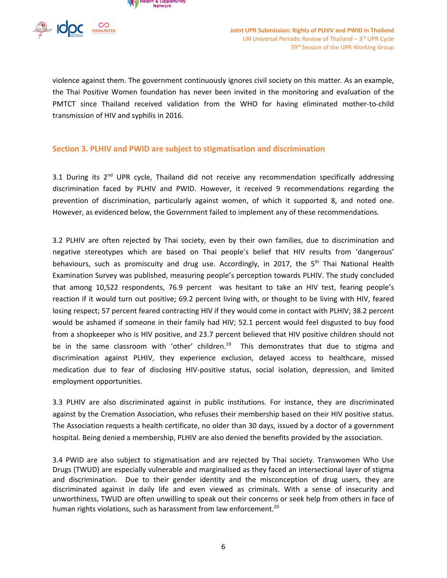

violence against them. The government continuously ignores civil society on this matter. As an example, the Thai Positive Women foundation has never been invited in the monitoring and evaluation of the PMTCT since Thailand received validation from the WHO for having eliminated mother-to-child transmission of HIV and syphilis in 2016.

## **Section 3. PLHIV and PWID are subject to stigmatisation and discrimination**

3.1 During its 2<sup>nd</sup> UPR cycle, Thailand did not receive any recommendation specifically addressing discrimination faced by PLHIV and PWID. However, it received 9 recommendations regarding the prevention of discrimination, particularly against women, of which it supported 8, and noted one. However, as evidenced below, the Government failed to implement any of these recommendations.

3.2 PLHIV are often rejected by Thai society, even by their own families, due to discrimination and negative stereotypes which are based on Thai people'<sup>s</sup> belief that HIV results from 'dangerous' behaviours, such as promiscuity and drug use. Accordingly, in 2017, the 5<sup>th</sup> Thai National Health Examination Survey was published, measuring people'<sup>s</sup> perception towards PLHIV. The study concluded that among 10,522 respondents, 76.9 percent was hesitant to take an HIV test, fearing people'<sup>s</sup> reaction if it would turn out positive; 69.2 percent living with, or thought to be living with HIV, feared losing respect; 57 percent feared contracting HIV if they would come in contact with PLHIV; 38.2 percent would be ashamed if someone in their family had HIV; 52.1 percent would feel disgusted to buy food from <sup>a</sup> shopkeeper who is HIV positive, and 23.7 percent believed that HIV positive children should not be in the same classroom with 'other' children.<sup>19</sup> This demonstrates that due to stigma and discrimination against PLHIV, they experience exclusion, delayed access to healthcare, missed medication due to fear of disclosing HIV-positive status, social isolation, depression, and limited employment opportunities.

3.3 PLHIV are also discriminated against in public institutions. For instance, they are discriminated against by the Cremation Association, who refuses their membership based on their HIV positive status. The Association requests <sup>a</sup> health certificate, no older than 30 days, issued by <sup>a</sup> doctor of <sup>a</sup> government hospital. Being denied <sup>a</sup> membership, PLHIV are also denied the benefits provided by the association.

3.4 PWID are also subject to stigmatisation and are rejected by Thai society. Transwomen Who Use Drugs (TWUD) are especially vulnerable and marginalised as they faced an intersectional layer of stigma and discrimination. Due to their gender identity and the misconception of drug users, they are discriminated against in daily life and even viewed as criminals. With <sup>a</sup> sense of insecurity and unworthiness, TWUD are often unwilling to speak out their concerns or seek help from others in face of human rights violations, such as harassment from law enforcement.<sup>20</sup>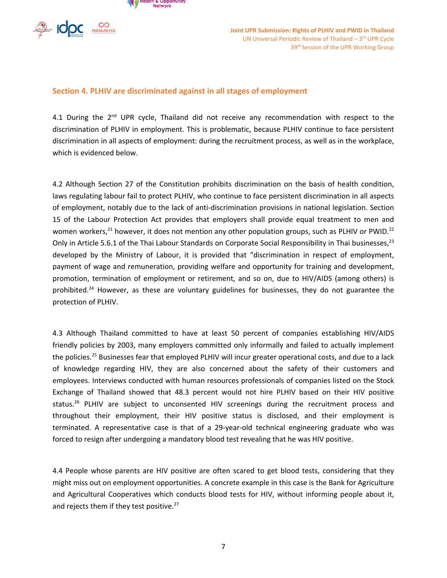



#### **Section 4. PLHIV are discriminated against in all stages of employment**

4.1 During the  $2^{nd}$  UPR cycle, Thailand did not receive any recommendation with respect to the discrimination of PLHIV in employment. This is problematic, because PLHIV continue to face persistent discrimination in all aspects of employment: during the recruitment process, as well as in the workplace, which is evidenced below.

4.2 Although Section 27 of the Constitution prohibits discrimination on the basis of health condition, laws regulating labour fail to protect PLHIV, who continue to face persistent discrimination in all aspects of employment, notably due to the lack of anti-discrimination provisions in national legislation. Section 15 of the Labour Protection Act provides that employers shall provide equal treatment to men and women workers,<sup>21</sup> however, it does not mention any other population groups, such as PLHIV or PWID.<sup>22</sup> Only in Article 5.6.1 of the Thai Labour Standards on Corporate Social Responsibility in Thai businesses,<sup>23</sup> developed by the Ministry of Labour, it is provided that "discrimination in respect of employment, payment of wage and remuneration, providing welfare and opportunity for training and development, promotion, termination of employment or retirement, and so on, due to HIV/AIDS (among others) is prohibited.<sup>24</sup> However, as these are voluntary guidelines for businesses, they do not guarantee the protection of PLHIV.

4.3 Although Thailand committed to have at least 50 percent of companies establishing HIV/AIDS friendly policies by 2003, many employers committed only informally and failed to actually implement the policies.<sup>25</sup> Businesses fear that employed PLHIV will incur greater operational costs, and due to a lack of knowledge regarding HIV, they are also concerned about the safety of their customers and employees. Interviews conducted with human resources professionals of companies listed on the Stock Exchange of Thailand showed that 48.3 percent would not hire PLHIV based on their HIV positive status.<sup>26</sup> PLHIV are subject to unconsented HIV screenings during the recruitment process and throughout their employment, their HIV positive status is disclosed, and their employment is terminated. A representative case is that of <sup>a</sup> 29-year-old technical engineering graduate who was forced to resign after undergoing <sup>a</sup> mandatory blood test revealing that he was HIV positive.

4.4 People whose parents are HIV positive are often scared to get blood tests, considering that they might miss out on employment opportunities. A concrete example in this case is the Bank for Agriculture and Agricultural Cooperatives which conducts blood tests for HIV, without informing people about it, and rejects them if they test positive.<sup>27</sup>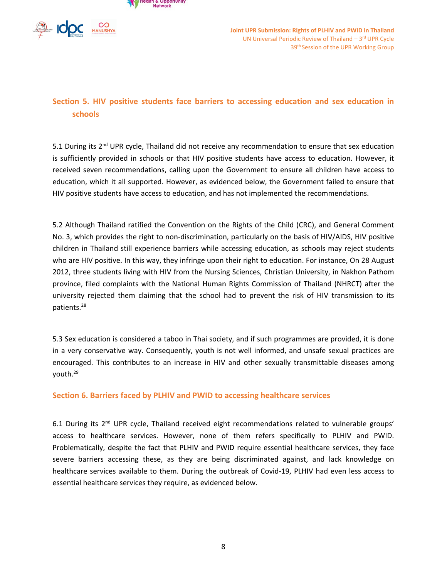



# **Section 5. HIV positive students face barriers to accessing education and sex education in schools**

5.1 During its 2<sup>nd</sup> UPR cycle, Thailand did not receive any recommendation to ensure that sex education is sufficiently provided in schools or that HIV positive students have access to education. However, it received seven recommendations, calling upon the Government to ensure all children have access to education, which it all supported. However, as evidenced below, the Government failed to ensure that HIV positive students have access to education, and has not implemented the recommendations.

5.2 Although Thailand ratified the Convention on the Rights of the Child (CRC), and General Comment No. 3, which provides the right to non-discrimination, particularly on the basis of HIV/AIDS, HIV positive children in Thailand still experience barriers while accessing education, as schools may reject students who are HIV positive. In this way, they infringe upon their right to education. For instance, On 28 August 2012, three students living with HIV from the Nursing Sciences, Christian University, in Nakhon Pathom province, filed complaints with the National Human Rights Commission of Thailand (NHRCT) after the university rejected them claiming that the school had to prevent the risk of HIV transmission to its patients. 28

5.3 Sex education is considered <sup>a</sup> taboo in Thai society, and if such programmes are provided, it is done in <sup>a</sup> very conservative way. Consequently, youth is not well informed, and unsafe sexual practices are encouraged. This contributes to an increase in HIV and other sexually transmittable diseases among youth. 29

## **Section 6. Barriers faced by PLHIV and PWID to accessing healthcare services**

6.1 During its 2<sup>nd</sup> UPR cycle, Thailand received eight recommendations related to vulnerable groups' access to healthcare services. However, none of them refers specifically to PLHIV and PWID. Problematically, despite the fact that PLHIV and PWID require essential healthcare services, they face severe barriers accessing these, as they are being discriminated against, and lack knowledge on healthcare services available to them. During the outbreak of Covid-19, PLHIV had even less access to essential healthcare services they require, as evidenced below.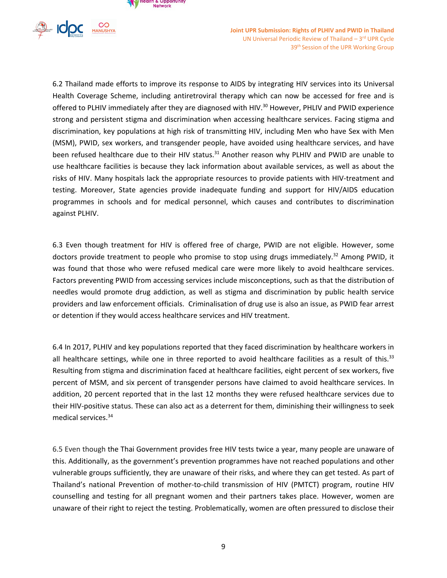



6.2 Thailand made efforts to improve its response to AIDS by integrating HIV services into its Universal Health Coverage Scheme, including antiretroviral therapy which can now be accessed for free and is offered to PLHIV immediately after they are diagnosed with HIV.<sup>30</sup> However, PHLIV and PWID experience strong and persistent stigma and discrimination when accessing healthcare services. Facing stigma and discrimination, key populations at high risk of transmitting HIV, including Men who have Sex with Men (MSM), PWID, sex workers, and transgender people, have avoided using healthcare services, and have been refused healthcare due to their HIV status.<sup>31</sup> Another reason why PLHIV and PWID are unable to use healthcare facilities is because they lack information about available services, as well as about the risks of HIV. Many hospitals lack the appropriate resources to provide patients with HIV-treatment and testing. Moreover, State agencies provide inadequate funding and support for HIV/AIDS education programmes in schools and for medical personnel, which causes and contributes to discrimination against PLHIV.

6.3 Even though treatment for HIV is offered free of charge, PWID are not eligible. However, some doctors provide treatment to people who promise to stop using drugs immediately.<sup>32</sup> Among PWID, it was found that those who were refused medical care were more likely to avoid healthcare services. Factors preventing PWID from accessing services include misconceptions, such as that the distribution of needles would promote drug addiction, as well as stigma and discrimination by public health service providers and law enforcement officials. Criminalisation of drug use is also an issue, as PWID fear arrest or detention if they would access healthcare services and HIV treatment.

6.4 In 2017, PLHIV and key populations reported that they faced discrimination by healthcare workers in all healthcare settings, while one in three reported to avoid healthcare facilities as a result of this.<sup>33</sup> Resulting from stigma and discrimination faced at healthcare facilities, eight percent of sex workers, five percent of MSM, and six percent of transgender persons have claimed to avoid healthcare services. In addition, 20 percent reported that in the last 12 months they were refused healthcare services due to their HIV-positive status. These can also act as <sup>a</sup> deterrent for them, diminishing their willingness to seek medical services. 34

6.5 Even though the Thai Government provides free HIV tests twice <sup>a</sup> year, many people are unaware of this. Additionally, as the government'<sup>s</sup> prevention programmes have not reached populations and other vulnerable groups sufficiently, they are unaware of their risks, and where they can get tested. As part of Thailand'<sup>s</sup> national Prevention of mother-to-child transmission of HIV (PMTCT) program, routine HIV counselling and testing for all pregnant women and their partners takes place. However, women are unaware of their right to reject the testing. Problematically, women are often pressured to disclose their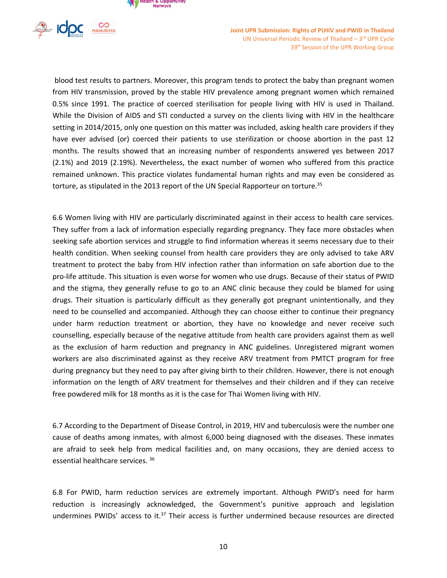

blood test results to partners. Moreover, this program tends to protect the baby than pregnant women from HIV transmission, proved by the stable HIV prevalence among pregnant women which remained 0.5% since 1991. The practice of coerced sterilisation for people living with HIV is used in Thailand. While the Division of AIDS and STI conducted <sup>a</sup> survey on the clients living with HIV in the healthcare setting in 2014/2015, only one question on this matter was included, asking health care providers if they have ever advised (or) coerced their patients to use sterilization or choose abortion in the past 12 months. The results showed that an increasing number of respondents answered yes between 2017 (2.1%) and 2019 (2.19%). Nevertheless, the exact number of women who suffered from this practice remained unknown. This practice violates fundamental human rights and may even be considered as torture, as stipulated in the 2013 report of the UN Special Rapporteur on torture.<sup>35</sup>

6.6 Women living with HIV are particularly discriminated against in their access to health care services. They suffer from <sup>a</sup> lack of information especially regarding pregnancy. They face more obstacles when seeking safe abortion services and struggle to find information whereas it seems necessary due to their health condition. When seeking counsel from health care providers they are only advised to take ARV treatment to protect the baby from HIV infection rather than information on safe abortion due to the pro-life attitude. This situation is even worse for women who use drugs. Because of their status of PWID and the stigma, they generally refuse to go to an ANC clinic because they could be blamed for using drugs. Their situation is particularly difficult as they generally got pregnant unintentionally, and they need to be counselled and accompanied. Although they can choose either to continue their pregnancy under harm reduction treatment or abortion, they have no knowledge and never receive such counselling, especially because of the negative attitude from health care providers against them as well as the exclusion of harm reduction and pregnancy in ANC guidelines. Unregistered migrant women workers are also discriminated against as they receive ARV treatment from PMTCT program for free during pregnancy but they need to pay after giving birth to their children. However, there is not enough information on the length of ARV treatment for themselves and their children and if they can receive free powdered milk for 18 months as it is the case for Thai Women living with HIV.

6.7 According to the Department of Disease Control, in 2019, HIV and tuberculosis were the number one cause of deaths among inmates, with almost 6,000 being diagnosed with the diseases. These inmates are afraid to seek help from medical facilities and, on many occasions, they are denied access to essential healthcare services. <sup>36</sup>

6.8 For PWID, harm reduction services are extremely important. Although PWID'<sup>s</sup> need for harm reduction is increasingly acknowledged, the Government'<sup>s</sup> punitive approach and legislation undermines PWIDs' access to it.<sup>37</sup> Their access is further undermined because resources are directed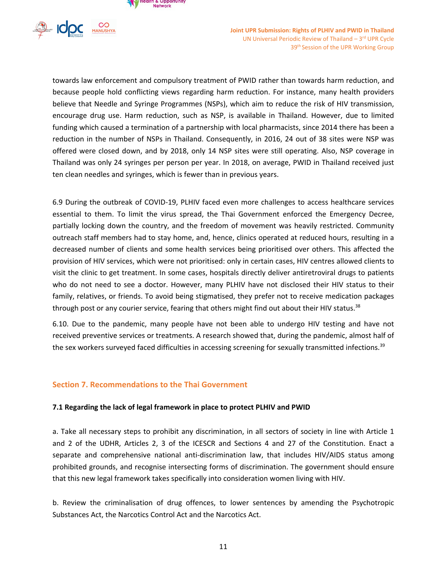



towards law enforcement and compulsory treatment of PWID rather than towards harm reduction, and because people hold conflicting views regarding harm reduction. For instance, many health providers believe that Needle and Syringe Programmes (NSPs), which aim to reduce the risk of HIV transmission, encourage drug use. Harm reduction, such as NSP, is available in Thailand. However, due to limited funding which caused <sup>a</sup> termination of <sup>a</sup> partnership with local pharmacists, since 2014 there has been <sup>a</sup> reduction in the number of NSPs in Thailand. Consequently, in 2016, 24 out of 38 sites were NSP was offered were closed down, and by 2018, only 14 NSP sites were still operating. Also, NSP coverage in Thailand was only 24 syringes per person per year. In 2018, on average, PWID in Thailand received just ten clean needles and syringes, which is fewer than in previous years.

6.9 During the outbreak of COVID-19, PLHIV faced even more challenges to access healthcare services essential to them. To limit the virus spread, the Thai Government enforced the Emergency Decree, partially locking down the country, and the freedom of movement was heavily restricted. Community outreach staff members had to stay home, and, hence, clinics operated at reduced hours, resulting in <sup>a</sup> decreased number of clients and some health services being prioritised over others. This affected the provision of HIV services, which were not prioritised: only in certain cases, HIV centres allowed clients to visit the clinic to get treatment. In some cases, hospitals directly deliver antiretroviral drugs to patients who do not need to see <sup>a</sup> doctor. However, many PLHIV have not disclosed their HIV status to their family, relatives, or friends. To avoid being stigmatised, they prefer not to receive medication packages through post or any courier service, fearing that others might find out about their HIV status.<sup>38</sup>

6.10. Due to the pandemic, many people have not been able to undergo HIV testing and have not received preventive services or treatments. A research showed that, during the pandemic, almost half of the sex workers surveyed faced difficulties in accessing screening for sexually transmitted infections.<sup>39</sup>

#### **Section 7. Recommendations to the Thai Government**

#### **7.1 Regarding the lack of legal framework in place to protect PLHIV and PWID**

a. Take all necessary steps to prohibit any discrimination, in all sectors of society in line with Article 1 and 2 of the UDHR, Articles 2, 3 of the ICESCR and Sections 4 and 27 of the Constitution. Enact <sup>a</sup> separate and comprehensive national anti-discrimination law, that includes HIV/AIDS status among prohibited grounds, and recognise intersecting forms of discrimination. The government should ensure that this new legal framework takes specifically into consideration women living with HIV.

b. Review the criminalisation of drug offences, to lower sentences by amending the Psychotropic Substances Act, the Narcotics Control Act and the Narcotics Act.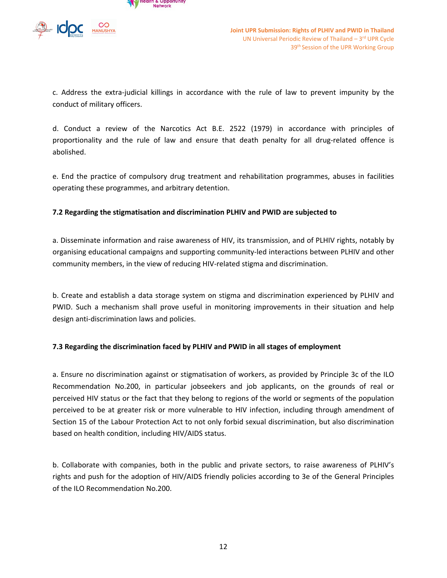

c. Address the extra-judicial killings in accordance with the rule of law to prevent impunity by the conduct of military officers.

d. Conduct <sup>a</sup> review of the Narcotics Act B.E. 2522 (1979) in accordance with principles of proportionality and the rule of law and ensure that death penalty for all drug-related offence is abolished.

e. End the practice of compulsory drug treatment and rehabilitation programmes, abuses in facilities operating these programmes, and arbitrary detention.

## **7.2 Regarding the stigmatisation and discrimination PLHIV and PWID are subjected to**

a. Disseminate information and raise awareness of HIV, its transmission, and of PLHIV rights, notably by organising educational campaigns and supporting community-led interactions between PLHIV and other community members, in the view of reducing HIV-related stigma and discrimination.

b. Create and establish <sup>a</sup> data storage system on stigma and discrimination experienced by PLHIV and PWID. Such <sup>a</sup> mechanism shall prove useful in monitoring improvements in their situation and help design anti-discrimination laws and policies.

## **7.3 Regarding the discrimination faced by PLHIV and PWID in all stages of employment**

a. Ensure no discrimination against or stigmatisation of workers, as provided by Principle 3c of the ILO Recommendation No.200, in particular jobseekers and job applicants, on the grounds of real or perceived HIV status or the fact that they belong to regions of the world or segments of the population perceived to be at greater risk or more vulnerable to HIV infection, including through amendment of Section 15 of the Labour Protection Act to not only forbid sexual discrimination, but also discrimination based on health condition, including HIV/AIDS status.

b. Collaborate with companies, both in the public and private sectors, to raise awareness of PLHIV'<sup>s</sup> rights and push for the adoption of HIV/AIDS friendly policies according to 3e of the General Principles of the ILO Recommendation No.200.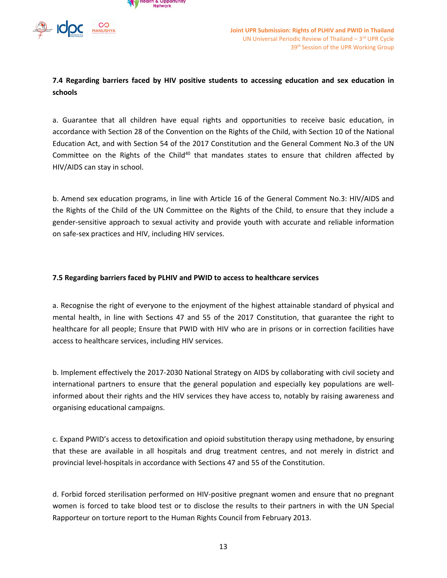



**7.4 Regarding barriers faced by HIV positive students to accessing education and sex education in schools**

a. Guarantee that all children have equal rights and opportunities to receive basic education, in accordance with Section 28 of the Convention on the Rights of the Child, with Section 10 of the National Education Act, and with Section 54 of the 2017 Constitution and the General Comment No.3 of the UN Committee on the Rights of the Child<sup>40</sup> that mandates states to ensure that children affected by HIV/AIDS can stay in school.

b. Amend sex education programs, in line with Article 16 of the General Comment No.3: HIV/AIDS and the Rights of the Child of the UN Committee on the Rights of the Child, to ensure that they include <sup>a</sup> gender-sensitive approach to sexual activity and provide youth with accurate and reliable information on safe-sex practices and HIV, including HIV services.

#### **7.5 Regarding barriers faced by PLHIV and PWID to access to healthcare services**

a. Recognise the right of everyone to the enjoyment of the highest attainable standard of physical and mental health, in line with Sections 47 and 55 of the 2017 Constitution, that guarantee the right to healthcare for all people; Ensure that PWID with HIV who are in prisons or in correction facilities have access to healthcare services, including HIV services.

b. Implement effectively the 2017-2030 National Strategy on AIDS by collaborating with civil society and international partners to ensure that the general population and especially key populations are wellinformed about their rights and the HIV services they have access to, notably by raising awareness and organising educational campaigns.

c. Expand PWID'<sup>s</sup> access to detoxification and opioid substitution therapy using methadone, by ensuring that these are available in all hospitals and drug treatment centres, and not merely in district and provincial level-hospitals in accordance with Sections 47 and 55 of the Constitution.

d. Forbid forced sterilisation performed on HIV-positive pregnant women and ensure that no pregnant women is forced to take blood test or to disclose the results to their partners in with the UN Special Rapporteur on torture report to the Human Rights Council from February 2013.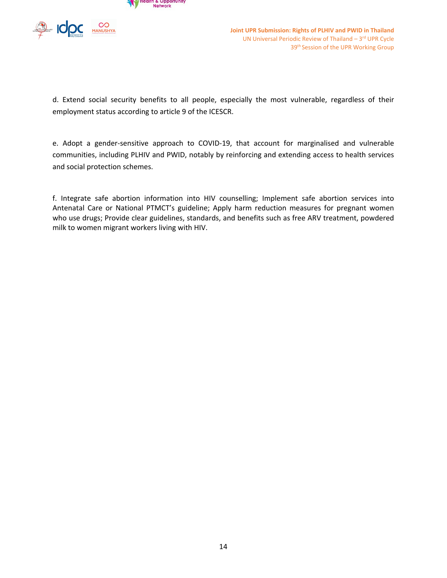



d. Extend social security benefits to all people, especially the most vulnerable, regardless of their employment status according to article 9 of the ICESCR.

e. Adopt <sup>a</sup> gender-sensitive approach to COVID-19, that account for marginalised and vulnerable communities, including PLHIV and PWID, notably by reinforcing and extending access to health services and social protection schemes.

f. Integrate safe abortion information into HIV counselling; Implement safe abortion services into Antenatal Care or National PTMCT'<sup>s</sup> guideline; Apply harm reduction measures for pregnant women who use drugs; Provide clear guidelines, standards, and benefits such as free ARV treatment, powdered milk to women migrant workers living with HIV.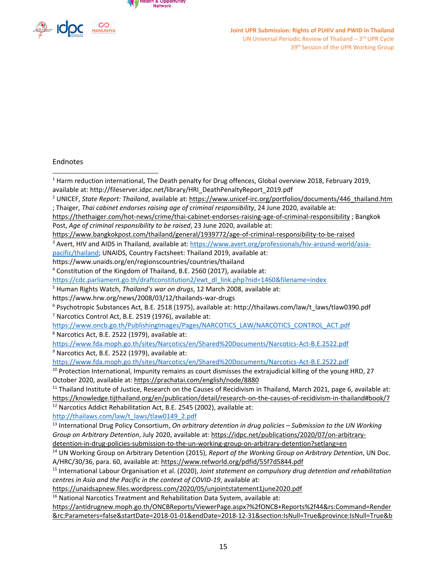



#### Endnotes

- <sup>1</sup> Harm reduction international, The Death penalty for Drug offences, Global overview 2018, February 2019, available at: http://fileserver.idpc.net/library/HRI\_DeathPenaltyReport\_2019.pdf
- 2 UNICEF, *State Report: Thailand*, available at: [https://www.unicef-irc.org/portfolios/documents/446\\_thailand.htm](https://www.unicef-irc.org/portfolios/documents/446_thailand.htm)
- ; Thaiger, *Thai cabinet endorses raising age of criminal responsibility*, 24 June 2020, available at:
- <https://thethaiger.com/hot-news/crime/thai-cabinet-endorses-raising-age-of-criminal-responsibility> ; Bangkok Post, *Age of criminal responsibility to be raised*, 23 June 2020, available at:
- <https://www.bangkokpost.com/thailand/general/1939772/age-of-criminal-responsibility-to-be-raised>
- <sup>3</sup> Avert, HIV and AIDS in Thailand, available at: [https://www.avert.org/professionals/hiv-around-world/asia-](https://www.avert.org/professionals/hiv-around-world/asia-pacific/thailand)
- [pacific/thailand](https://www.avert.org/professionals/hiv-around-world/asia-pacific/thailand); UNAIDS, Country Factsheet: Thailand 2019, available at:
- https://www.unaids.org/en/regionscountries/countries/thailand
- 4 Constitution of the Kingdom of Thailand, B.E. 2560 (2017), available at:
- [https://cdc.parliament.go.th/draftconstitution2/ewt\\_dl\\_link.php?nid=1460&filename=index](https://cdc.parliament.go.th/draftconstitution2/ewt_dl_link.php?nid=1460&filename=index)
- 5 Human Rights Watch, *Thailand'<sup>s</sup> war on drugs*, 12 March 2008, available at:
- https://www.hrw.org/news/2008/03/12/thailands-war-drugs
- 6 Psychotropic Substances Act, B.E. 2518 (1975), available at: http://thailaws.com/law/t\_laws/tlaw0390.pdf 7 Narcotics Control Act, B.E. 2519 (1976), available at:
- [https://www.oncb.go.th/PublishingImages/Pages/NARCOTICS\\_LAW/NARCOTICS\\_CONTROL\\_ACT.pdf](https://www.oncb.go.th/PublishingImages/Pages/NARCOTICS_LAW/NARCOTICS_CONTROL_ACT.pdf)
- 8 Narcotics Act, B.E. 2522 (1979), available at:
- <https://www.fda.moph.go.th/sites/Narcotics/en/Shared%20Documents/Narcotics-Act-B.E.2522.pdf>
- <sup>9</sup> Narcotics Act, B.E. 2522 (1979), available at:
- <https://www.fda.moph.go.th/sites/Narcotics/en/Shared%20Documents/Narcotics-Act-B.E.2522.pdf>
- <sup>10</sup> Protection International, Impunity remains as court dismisses the extrajudicial killing of the young HRD, 27 October 2020, available at: <https://prachatai.com/english/node/8880>
- <sup>11</sup> Thailand Institute of Justice, Research on the Causes of Recidivism in Thailand, March 2021, page 6, available at: <https://knowledge.tijthailand.org/en/publication/detail/research-on-the-causes-of-recidivism-in-thailand#book/7>  $12$  Narcotics Addict Rehabilitation Act, B.E. 2545 (2002), available at:

[http://thailaws.com/law/t\\_laws/tlaw0149\\_2.pdf](http://thailaws.com/law/t_laws/tlaw0149_2.pdf)

- 13 International Drug Policy Consortium, *On arbitrary detention in drug policies – Submission to the UN Working Group on Arbitrary Detention*, July 2020, available at: [https://idpc.net/publications/2020/07/on-arbitrary-](https://idpc.net/publications/2020/07/on-arbitrary-detention-in-drug-policies-submission-to-the-un-working-group-on-arbitrary-detention?setlang=en)
- [detention-in-drug-policies-submission-to-the-un-working-group-on-arbitrary-detention?setlang=en](https://idpc.net/publications/2020/07/on-arbitrary-detention-in-drug-policies-submission-to-the-un-working-group-on-arbitrary-detention?setlang=en)
- 14 UN Working Group on Arbitrary Detention (2015), *Report of the Working Group on Arbitrary Detention*, UN Doc. A/HRC/30/36, para. 60, available at: <https://www.refworld.org/pdfid/55f7d5844.pdf>
- 15 International Labour Organisation et al. (2020), *Joint statement on compulsory drug detention and rehabilitation centres in Asia and the Pacific in the context of COVID-19*, available at:
- <https://unaidsapnew.files.wordpress.com/2020/05/unjointstatement1june2020.pdf>
- <sup>16</sup> National Narcotics Treatment and Rehabilitation Data System, available at:
- [https://antidrugnew.moph.go.th/ONCBReports/ViewerPage.aspx?%2fONCB+Reports%2f44&rs:Command=Render](https://antidrugnew.moph.go.th/ONCBReports/ViewerPage.aspx?%2fONCB+Reports%2f44&rs:Command=Render&rc:Parameters=false&startDate=2018-01-01&endDate=2018-12-31§ion:IsNull=True&province:IsNull=True&border:IsNull=True&organizeid:IsNull=True&Ministry:IsNull=True&Department:IsNull=True) [&rc:Parameters=false&startDate=2018-01-01&endDate=2018-12-31&section:IsNull=True&province:IsNull=True&b](https://antidrugnew.moph.go.th/ONCBReports/ViewerPage.aspx?%2fONCB+Reports%2f44&rs:Command=Render&rc:Parameters=false&startDate=2018-01-01&endDate=2018-12-31§ion:IsNull=True&province:IsNull=True&border:IsNull=True&organizeid:IsNull=True&Ministry:IsNull=True&Department:IsNull=True)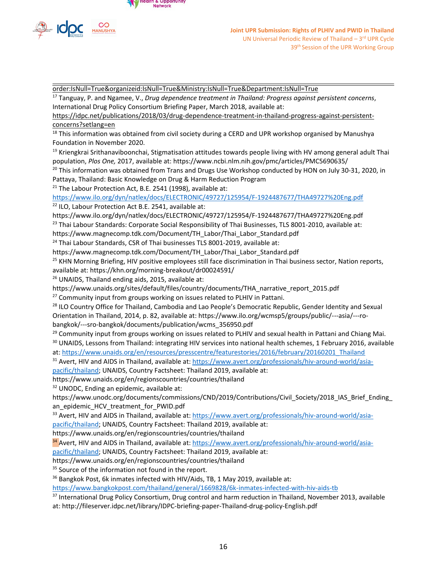

[order:IsNull=True&organizeid:IsNull=True&Ministry:IsNull=True&Department:IsNull=True](https://antidrugnew.moph.go.th/ONCBReports/ViewerPage.aspx?%2fONCB+Reports%2f44&rs:Command=Render&rc:Parameters=false&startDate=2018-01-01&endDate=2018-12-31§ion:IsNull=True&province:IsNull=True&border:IsNull=True&organizeid:IsNull=True&Ministry:IsNull=True&Department:IsNull=True)

17 Tanguay, P. and Ngamee, V., *Drug dependence treatment in Thailand: Progress against persistent concerns*, International Drug Policy Consortium Briefing Paper, March 2018, available at:

[https://idpc.net/publications/2018/03/drug-dependence-treatment-in-thailand-progress-against-persistent](https://idpc.net/publications/2018/03/drug-dependence-treatment-in-thailand-progress-against-persistent-concerns?setlang=en)[concerns?setlang=en](https://idpc.net/publications/2018/03/drug-dependence-treatment-in-thailand-progress-against-persistent-concerns?setlang=en)

<sup>18</sup> This information was obtained from civil society during a CERD and UPR workshop organised by Manushya Foundation in November 2020.

<sup>19</sup> Kriengkrai Srithanaviboonchai, Stigmatisation attitudes towards people living with HV among general adult Thai population, *Plos One,* 2017, available at: https://www.ncbi.nlm.nih.gov/pmc/articles/PMC5690635/

<sup>20</sup> This information was obtained from Trans and Drugs Use Workshop conducted by HON on July 30-31, 2020, in Pattaya, Thailand: Basic Knowledge on Drug & Harm Reduction Program

<sup>21</sup> The Labour Protection Act, B.E. 2541 (1998), available at:

<https://www.ilo.org/dyn/natlex/docs/ELECTRONIC/49727/125954/F-1924487677/THA49727%20Eng.pdf>

<sup>22</sup> ILO, Labour Protection Act B.E. 2541, available at:

https://www.ilo.org/dyn/natlex/docs/ELECTRONIC/49727/125954/F-1924487677/THA49727%20Eng.pdf

 $^{23}$  Thai Labour Standards: Corporate Social Responsibility of Thai Businesses, TLS 8001-2010, available at:

https://www.magnecomp.tdk.com/Document/TH\_Labor/Thai\_Labor\_Standard.pdf

<sup>24</sup> Thai Labour Standards, CSR of Thai businesses TLS 8001-2019, available at:

https://www.magnecomp.tdk.com/Document/TH\_Labor/Thai\_Labor\_Standard.pdf

<sup>25</sup> KHN Morning Briefing, HIV positive employees still face discrimination in Thai business sector, Nation reports,

available at: https://khn.org/morning-breakout/dr00024591/

<sup>26</sup> UNAIDS, Thailand ending aids, 2015, available at:

https://www.unaids.org/sites/default/files/country/documents/THA\_narrative\_report\_2015.pdf

<sup>27</sup> Community input from groups working on issues related to PLHIV in Pattani.

<sup>28</sup> ILO Country Office for Thailand, Cambodia and Lao People's Democratic Republic, Gender Identity and Sexual Orientation in Thailand, 2014, p. 82, available at: https://www.ilo.org/wcmsp5/groups/public/---asia/---robangkok/---sro-bangkok/documents/publication/wcms\_356950.pdf

<sup>29</sup> Community input from groups working on issues related to PLHIV and sexual health in Pattani and Chiang Mai.

<sup>30</sup> UNAIDS, Lessons from Thailand: integrating HIV services into national health schemes, 1 February 2016, available at: [https://www.unaids.org/en/resources/presscentre/featurestories/2016/february/20160201\\_Thailand](https://www.unaids.org/en/resources/presscentre/featurestories/2016/february/20160201_Thailand)

<sup>31</sup> Avert, HIV and AIDS in Thailand, available at: <u>https://www.avert.org/professionals/hiv-around-world/asia-</u>

[pacific/thailand](https://www.avert.org/professionals/hiv-around-world/asia-pacific/thailand); UNAIDS, Country Factsheet: Thailand 2019, available at:

https://www.unaids.org/en/regionscountries/countries/thailand

<sup>32</sup> UNODC, Ending an epidemic, available at:

https://www.unodc.org/documents/commissions/CND/2019/Contributions/Civil\_Society/2018\_IAS\_Brief\_Ending an\_epidemic\_HCV\_treatment\_for\_PWID.pdf

<sup>33</sup> Avert, HIV and AIDS in Thailand, available at: <u>https://www.avert.org/professionals/hiv-around-world/asia-</u> [pacific/thailand](https://www.avert.org/professionals/hiv-around-world/asia-pacific/thailand); UNAIDS, Country Factsheet: Thailand 2019, available at:

https://www.unaids.org/en/regionscountries/countries/thailand

<sup>34</sup> Avert, HIV and AIDS in Thailand, available at: <u>https://www.avert.org/professionals/hiv-around-world/asia-</u>

[pacific/thailand](https://www.avert.org/professionals/hiv-around-world/asia-pacific/thailand); UNAIDS, Country Factsheet: Thailand 2019, available at:

https://www.unaids.org/en/regionscountries/countries/thailand

<sup>35</sup> Source of the information not found in the report.

<sup>36</sup> Bangkok Post, 6k inmates infected with HIV/Aids, TB, 1 May 2019, available at:

<https://www.bangkokpost.com/thailand/general/1669828/6k-inmates-infected-with-hiv-aids-tb>

<sup>37</sup> International Drug Policy Consortium, Drug control and harm reduction in Thailand, November 2013, available at: http://fileserver.idpc.net/library/IDPC-briefing-paper-Thailand-drug-policy-English.pdf